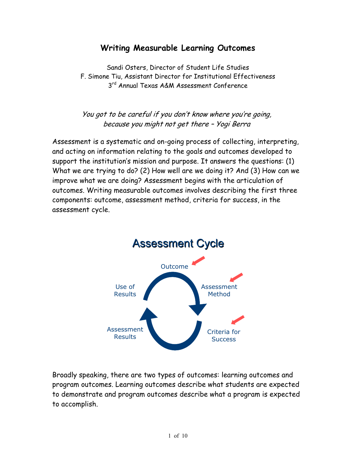# **Writing Measurable Learning Outcomes**

Sandi Osters, Director of Student Life Studies F. Simone Tiu, Assistant Director for Institutional Effectiveness 3<sup>rd</sup> Annual Texas A&M Assessment Conference

You got to be careful if you don't know where you're going, because you might not get there – Yogi Berra

Assessment is a systematic and on-going process of collecting, interpreting, and acting on information relating to the goals and outcomes developed to support the institution's mission and purpose. It answers the questions: (1) What we are trying to do? (2) How well are we doing it? And (3) How can we improve what we are doing? Assessment begins with the articulation of outcomes. Writing measurable outcomes involves describing the first three components: outcome, assessment method, criteria for success, in the assessment cycle.



Broadly speaking, there are two types of outcomes: learning outcomes and program outcomes. Learning outcomes describe what students are expected to demonstrate and program outcomes describe what a program is expected to accomplish.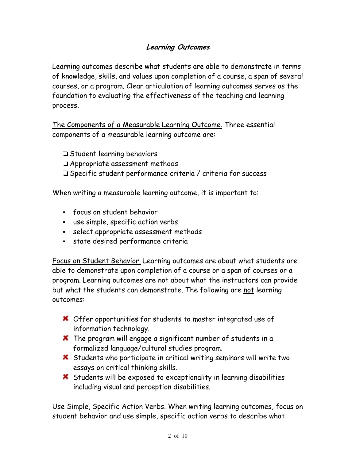# **Learning Outcomes**

Learning outcomes describe what students are able to demonstrate in terms of knowledge, skills, and values upon completion of a course, a span of several courses, or a program. Clear articulation of learning outcomes serves as the foundation to evaluating the effectiveness of the teaching and learning process.

The Components of a Measurable Learning Outcome. Three essential components of a measurable learning outcome are:

- □ Student learning behaviors
- □ Appropriate assessment methods
- Specific student performance criteria / criteria for success

When writing a measurable learning outcome, it is important to:

- focus on student behavior
- use simple, specific action verbs
- select appropriate assessment methods
- state desired performance criteria

Focus on Student Behavior. Learning outcomes are about what students are able to demonstrate upon completion of a course or a span of courses or a program. Learning outcomes are not about what the instructors can provide but what the students can demonstrate. The following are not learning outcomes:

- **X** Offer opportunities for students to master integrated use of information technology.
- **X** The program will engage a significant number of students in a formalized language/cultural studies program.
- Students who participate in critical writing seminars will write two essays on critical thinking skills.
- $\boldsymbol{\times}$  Students will be exposed to exceptionality in learning disabilities including visual and perception disabilities.

Use Simple, Specific Action Verbs. When writing learning outcomes, focus on student behavior and use simple, specific action verbs to describe what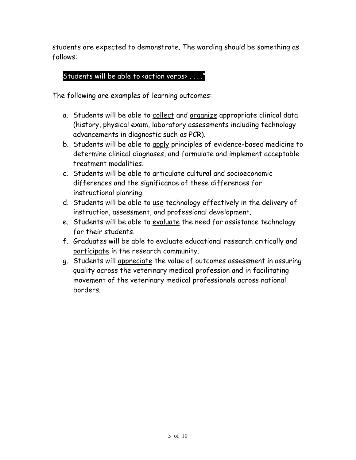students are expected to demonstrate. The wording should be something as follows:

# Students will be able to «action verbs» . . . .

The following are examples of learning outcomes:

- a. Students will be able to collect and organize appropriate clinical data (history, physical exam, laboratory assessments including technology advancements in diagnostic such as PCR).
- b. Students will be able to apply principles of evidence-based medicine to determine clinical diagnoses, and formulate and implement acceptable treatment modalities.
- c. Students will be able to articulate cultural and socioeconomic differences and the significance of these differences for instructional planning.
- d. Students will be able to use technology effectively in the delivery of instruction, assessment, and professional development.
- e. Students will be able to evaluate the need for assistance technology for their students.
- f. Graduates will be able to evaluate educational research critically and participate in the research community.
- g. Students will appreciate the value of outcomes assessment in assuring quality across the veterinary medical profession and in facilitating movement of the veterinary medical professionals across national borders.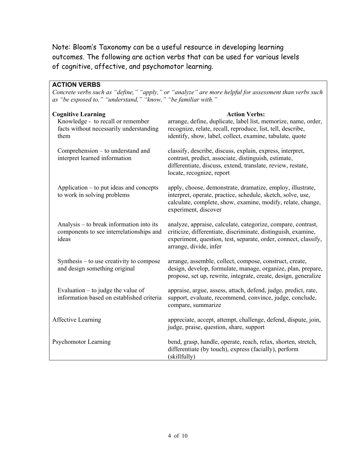Note: Bloom's Taxonomy can be a useful resource in developing learning outcomes. The following are action verbs that can be used for various levels of cognitive, affective, and psychomotor learning.

### **ACTION VERBS**

*Concrete verbs such as "define," "apply," or "analyze" are more helpful for assessment than verbs such as "be exposed to," "understand," "know," "be familiar with."* 

| <b>Cognitive Learning</b><br>Knowledge - to recall or remember<br>facts without necessarily understanding<br>them | <b>Action Verbs:</b><br>arrange, define, duplicate, label list, memorize, name, order,<br>recognize, relate, recall, reproduce, list, tell, describe,<br>identify, show, label, collect, examine, tabulate, quote          |
|-------------------------------------------------------------------------------------------------------------------|----------------------------------------------------------------------------------------------------------------------------------------------------------------------------------------------------------------------------|
| Comprehension – to understand and<br>interpret learned information                                                | classify, describe, discuss, explain, express, interpret,<br>contrast, predict, associate, distinguish, estimate,<br>differentiate, discuss, extend, translate, review, restate,<br>locate, recognize, report              |
| Application – to put ideas and concepts<br>to work in solving problems                                            | apply, choose, demonstrate, dramatize, employ, illustrate,<br>interpret, operate, practice, schedule, sketch, solve, use,<br>calculate, complete, show, examine, modify, relate, change,<br>experiment, discover           |
| Analysis – to break information into its<br>components to see interrelationships and<br>ideas                     | analyze, appraise, calculate, categorize, compare, contrast,<br>criticize, differentiate, discriminate, distinguish, examine,<br>experiment, question, test, separate, order, connect, classify,<br>arrange, divide, infer |
| Synthesis $-$ to use creativity to compose<br>and design something original                                       | arrange, assemble, collect, compose, construct, create,<br>design, develop, formulate, manage, organize, plan, prepare,<br>propose, set up, rewrite, integrate, create, design, generalize                                 |
| Evaluation $-$ to judge the value of<br>information based on established criteria                                 | appraise, argue, assess, attach, defend, judge, predict, rate,<br>support, evaluate, recommend, convince, judge, conclude,<br>compare, summarize                                                                           |
| <b>Affective Learning</b>                                                                                         | appreciate, accept, attempt, challenge, defend, dispute, join,<br>judge, praise, question, share, support                                                                                                                  |
| <b>Psychomotor Learning</b>                                                                                       | bend, grasp, handle, operate, reach, relax, shorten, stretch,<br>differentiate (by touch), express (facially), perform<br>(skillfully)                                                                                     |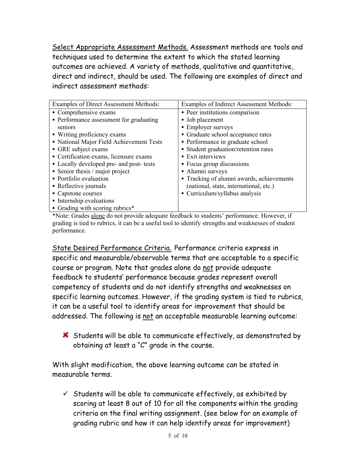Select Appropriate Assessment Methods. Assessment methods are tools and techniques used to determine the extent to which the stated learning outcomes are achieved. A variety of methods, qualitative and quantitative, direct and indirect, should be used. The following are examples of direct and indirect assessment methods:

| Examples of Direct Assessment Methods:       | Examples of Indirect Assessment Methods:  |
|----------------------------------------------|-------------------------------------------|
| • Comprehensive exams                        | • Peer institutions comparison            |
| • Performance assessment for graduating      | • Job placement                           |
| seniors                                      | • Employer surveys                        |
| • Writing proficiency exams                  | • Graduate school acceptance rates        |
| • National Major Field Achievement Tests     | • Performance in graduate school          |
| • GRE subject exams                          | • Student graduation/retention rates      |
| • Certification exams, licensure exams       | • Exit interviews                         |
| • Locally developed pre- and post- tests     | • Focus group discussions                 |
| $\blacksquare$ Senior thesis / major project | • Alumni surveys                          |
| • Portfolio evaluation                       | • Tracking of alumni awards, achievements |
| • Reflective journals                        | (national, state, international, etc.)    |
| • Capstone courses                           | • Curriculum/syllabus analysis            |
| • Internship evaluations                     |                                           |
| • Grading with scoring rubrics*              |                                           |

\*Note: Grades alone do not provide adequate feedback to students' performance. However, if grading is tied to rubrics, it can be a useful tool to identify strengths and weaknesses of student performance.

State Desired Performance Criteria. Performance criteria express in specific and measurable/observable terms that are acceptable to a specific course or program. Note that grades alone do not provide adequate feedback to students' performance because grades represent overall competency of students and do not identify strengths and weaknesses on specific learning outcomes. However, if the grading system is tied to rubrics, it can be a useful tool to identify areas for improvement that should be addressed. The following is not an acceptable measurable learning outcome:

Students will be able to communicate effectively, as demonstrated by obtaining at least a "C" grade in the course.

With slight modification, the above learning outcome can be stated in measurable terms.

 $\checkmark$  Students will be able to communicate effectively, as exhibited by scoring at least 8 out of 10 for all the components within the grading criteria on the final writing assignment. (see below for an example of grading rubric and how it can help identify areas for improvement)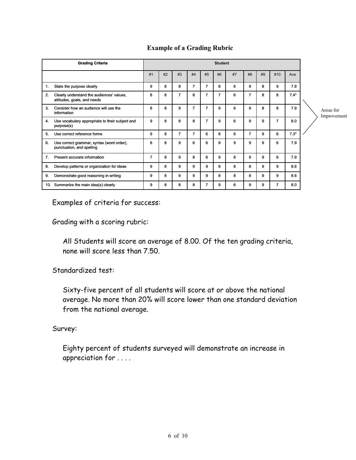|     | <b>Grading Criteria</b>                                                  |    | <b>Student</b> |                |                |                |                |    |                |    |                |        |                          |
|-----|--------------------------------------------------------------------------|----|----------------|----------------|----------------|----------------|----------------|----|----------------|----|----------------|--------|--------------------------|
|     |                                                                          | #1 | #2             | #3             | #4             | #5             | #6             | #7 | #8             | #9 | #10            | Ave    |                          |
| 1.  | State the purpose clearly                                                | 9  | 8              | 8              | $\overline{7}$ | 7              | 8              | 6  | 9              | 8  | 9              | 7.9    |                          |
| 2.  | Clearly understand the audiences' values,<br>attitudes, goals, and needs | 8  | 8              | $\overline{7}$ | 8              | $\overline{7}$ | $\overline{7}$ | 6  | $\overline{7}$ | 8  | 8              | $7.4*$ |                          |
| 3.  | Consider how an audience will use the<br>information                     | 8  | 8              | 9              | 7              | $\overline{7}$ | 9              | 6  | 9              | 8  | 8              | 7.9    | Areas for<br>Improvement |
| 4.  | Use vocabulary appropriate to their subject and<br>purpose(s)            | 9  | 8              | 8              | 8              | $\overline{7}$ | 9              | 6  | 9              | 9  | $\overline{7}$ | 8.0    |                          |
| 5.  | Use correct reference forms                                              | 9  | 8              | $\overline{7}$ | 7              | 6              | 8              | 6  | 7              | 9  | 6              | $7.3*$ |                          |
| 6.  | Use correct grammar, syntax (word order),<br>punctuation, and spelling   | 8  | 8              | 9              | 6              | 6              | 9              | 9  | 9              | 9  | 6              | 7.9    |                          |
| 7.  | Present accurate information                                             | 7  | 8              | 9              | 8              | 6              | 9              | 8  | 9              | 9  | 6              | 7.9    |                          |
| 8.  | Develop patterns or organization for ideas                               | 9  | 8              | 9              | 9              | 9              | 8              | 8  | 8              | 9  | 9              | 8.6    |                          |
| 9.  | Demonstrate good reasoning in writing                                    | 9  | 8              | 9              | 9              | 9              | 8              | 8  | 8              | 9  | 9              | 8.6    |                          |
| 10. | Summarize the main idea(s) clearly                                       | 9  | 8              | 8              | 8              | $\overline{7}$ | 9              | 6  | 9              | 9  | $\overline{7}$ | 8.0    |                          |

### **Example of a Grading Rubric**

Examples of criteria for success:

Grading with a scoring rubric:

All Students will score an average of 8.00. Of the ten grading criteria, none will score less than 7.50.

Standardized test:

Sixty-five percent of all students will score at or above the national average. No more than 20% will score lower than one standard deviation from the national average.

Survey:

Eighty percent of students surveyed will demonstrate an increase in appreciation for . . . .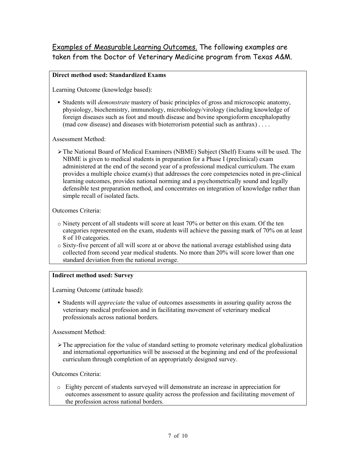## Examples of Measurable Learning Outcomes. The following examples are taken from the Doctor of Veterinary Medicine program from Texas A&M.

### **Direct method used: Standardized Exams**

Learning Outcome (knowledge based):

 Students will *demonstrate* mastery of basic principles of gross and microscopic anatomy, physiology, biochemistry, immunology, microbiology/virology (including knowledge of foreign diseases such as foot and mouth disease and bovine spongioform encephalopathy (mad cow disease) and diseases with bioterrorism potential such as anthrax) . . . .

Assessment Method:

¾The National Board of Medical Examiners (NBME) Subject (Shelf) Exams will be used. The NBME is given to medical students in preparation for a Phase I (preclinical) exam administered at the end of the second year of a professional medical curriculum. The exam provides a multiple choice exam(s) that addresses the core competencies noted in pre-clinical learning outcomes, provides national norming and a psychometrically sound and legally defensible test preparation method, and concentrates on integration of knowledge rather than simple recall of isolated facts.

#### Outcomes Criteria:

- o Ninety percent of all students will score at least 70% or better on this exam. Of the ten categories represented on the exam, students will achieve the passing mark of 70% on at least 8 of 10 categories.
- o Sixty-five percent of all will score at or above the national average established using data collected from second year medical students. No more than 20% will score lower than one standard deviation from the national average.

#### **Indirect method used: Survey**

Learning Outcome (attitude based):

 Students will *appreciate* the value of outcomes assessments in assuring quality across the veterinary medical profession and in facilitating movement of veterinary medical professionals across national borders.

Assessment Method:

 $\triangleright$  The appreciation for the value of standard setting to promote veterinary medical globalization and international opportunities will be assessed at the beginning and end of the professional curriculum through completion of an appropriately designed survey.

Outcomes Criteria:

o Eighty percent of students surveyed will demonstrate an increase in appreciation for outcomes assessment to assure quality across the profession and facilitating movement of the profession across national borders.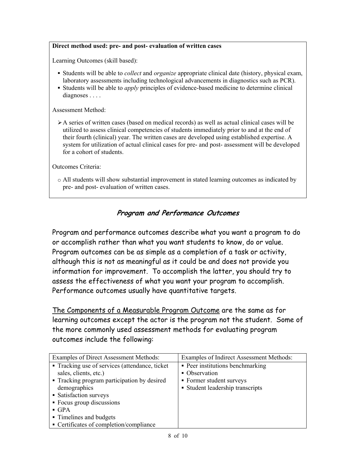#### **Direct method used: pre- and post- evaluation of written cases**

Learning Outcomes (skill based):

- Students will be able to *collect* and *organize* appropriate clinical date (history, physical exam, laboratory assessments including technological advancements in diagnostics such as PCR).
- Students will be able to *apply* principles of evidence-based medicine to determine clinical diagnoses . . . .

Assessment Method:

 $\geq$  A series of written cases (based on medical records) as well as actual clinical cases will be utilized to assess clinical competencies of students immediately prior to and at the end of their fourth (clinical) year. The written cases are developed using established expertise. A system for utilization of actual clinical cases for pre- and post- assessment will be developed for a cohort of students.

Outcomes Criteria:

o All students will show substantial improvement in stated learning outcomes as indicated by pre- and post- evaluation of written cases.

## **Program and Performance Outcomes**

Program and performance outcomes describe what you want a program to do or accomplish rather than what you want students to know, do or value. Program outcomes can be as simple as a completion of a task or activity, although this is not as meaningful as it could be and does not provide you information for improvement. To accomplish the latter, you should try to assess the effectiveness of what you want your program to accomplish. Performance outcomes usually have quantitative targets.

The Components of a Measurable Program Outcome are the same as for learning outcomes except the actor is the program not the student. Some of the more commonly used assessment methods for evaluating program outcomes include the following:

| Examples of Direct Assessment Methods:          | <b>Examples of Indirect Assessment Methods:</b> |
|-------------------------------------------------|-------------------------------------------------|
| • Tracking use of services (attendance, ticket) | • Peer institutions benchmarking                |
| sales, clients, etc.)                           | • Observation                                   |
| • Tracking program participation by desired     | • Former student surveys                        |
| demographics                                    | • Student leadership transcripts                |
| • Satisfaction surveys                          |                                                 |
| • Focus group discussions                       |                                                 |
| $\blacksquare$ GPA                              |                                                 |
| • Timelines and budgets                         |                                                 |
| • Certificates of completion/compliance         |                                                 |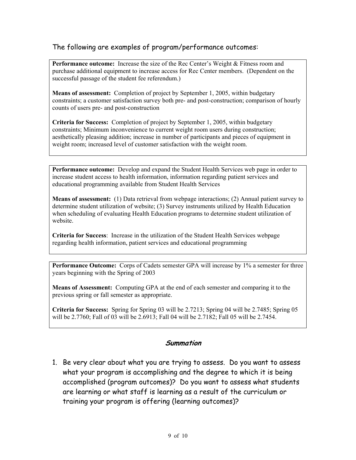## The following are examples of program/performance outcomes:

Performance outcome: Increase the size of the Rec Center's Weight & Fitness room and purchase additional equipment to increase access for Rec Center members. (Dependent on the successful passage of the student fee referendum.)

**Means of assessment:** Completion of project by September 1, 2005, within budgetary constraints; a customer satisfaction survey both pre- and post-construction; comparison of hourly counts of users pre- and post-construction

**Criteria for Success:** Completion of project by September 1, 2005, within budgetary constraints; Minimum inconvenience to current weight room users during construction; aesthetically pleasing addition; increase in number of participants and pieces of equipment in weight room; increased level of customer satisfaction with the weight room.

**Performance outcome:** Develop and expand the Student Health Services web page in order to increase student access to health information, information regarding patient services and educational programming available from Student Health Services

**Means of assessment:** (1) Data retrieval from webpage interactions; (2) Annual patient survey to determine student utilization of website; (3) Survey instruments utilized by Health Education when scheduling of evaluating Health Education programs to determine student utilization of website.

**Criteria for Success**: Increase in the utilization of the Student Health Services webpage regarding health information, patient services and educational programming

**Performance Outcome:** Corps of Cadets semester GPA will increase by 1% a semester for three years beginning with the Spring of 2003

**Means of Assessment:** Computing GPA at the end of each semester and comparing it to the previous spring or fall semester as appropriate.

**Criteria for Success:** Spring for Spring 03 will be 2.7213; Spring 04 will be 2.7485; Spring 05 will be 2.7760; Fall of 03 will be 2.6913; Fall 04 will be 2.7182; Fall 05 will be 2.7454.

### **Summation**

1. Be very clear about what you are trying to assess. Do you want to assess what your program is accomplishing and the degree to which it is being accomplished (program outcomes)? Do you want to assess what students are learning or what staff is learning as a result of the curriculum or training your program is offering (learning outcomes)?